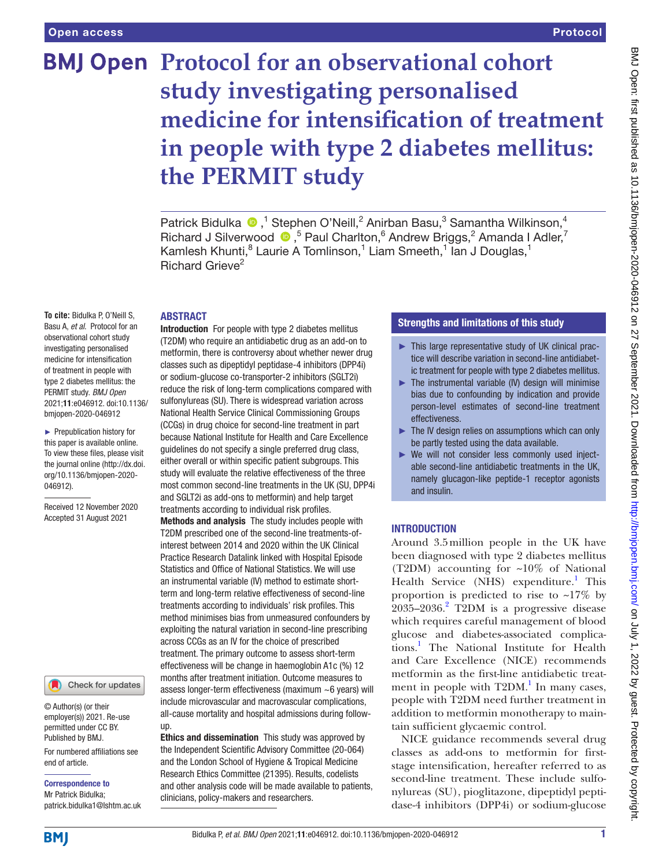# **BMJ Open Protocol for an observational cohort study investigating personalised medicine for intensification of treatment in people with type 2 diabetes mellitus: the PERMIT study**

Patrick Bidulka  $\bullet$ ,<sup>1</sup> Stephen O'Neill,<sup>2</sup> Anirban Basu,<sup>3</sup> Samantha Wilkinson,<sup>4</sup> RichardJ Silverwood  $\bullet$ , <sup>5</sup> Paul Charlton, <sup>6</sup> Andrew Briggs, <sup>2</sup> Amanda I Adler, <sup>7</sup> Kamlesh Khunti,<sup>8</sup> Laurie A Tomlinson,<sup>1</sup> Liam Smeeth,<sup>1</sup> lan J Douglas,<sup>1</sup> Richard Grieve<sup>2</sup>

# ABSTRACT

**To cite:** Bidulka P, O'Neill S, Basu A, *et al*. Protocol for an observational cohort study investigating personalised medicine for intensification of treatment in people with type 2 diabetes mellitus: the PERMIT study. *BMJ Open* 2021;11:e046912. doi:10.1136/ bmjopen-2020-046912

► Prepublication history for this paper is available online. To view these files, please visit the journal online [\(http://dx.doi.](http://dx.doi.org/10.1136/bmjopen-2020-046912) [org/10.1136/bmjopen-2020-](http://dx.doi.org/10.1136/bmjopen-2020-046912) [046912\)](http://dx.doi.org/10.1136/bmjopen-2020-046912).

Received 12 November 2020 Accepted 31 August 2021

#### Check for updates

© Author(s) (or their employer(s)) 2021. Re-use permitted under CC BY. Published by BMJ.

For numbered affiliations see end of article.

Correspondence to Mr Patrick Bidulka; patrick.bidulka1@lshtm.ac.uk

Introduction For people with type 2 diabetes mellitus (T2DM) who require an antidiabetic drug as an add-on to metformin, there is controversy about whether newer drug classes such as dipeptidyl peptidase-4 inhibitors (DPP4i) or sodium-glucose co-transporter-2 inhibitors (SGLT2i) reduce the risk of long-term complications compared with sulfonylureas (SU). There is widespread variation across National Health Service Clinical Commissioning Groups (CCGs) in drug choice for second-line treatment in part because National Institute for Health and Care Excellence guidelines do not specify a single preferred drug class, either overall or within specific patient subgroups. This study will evaluate the relative effectiveness of the three most common second-line treatments in the UK (SU, DPP4i and SGLT2i as add-ons to metformin) and help target treatments according to individual risk profiles.

Methods and analysis The study includes people with T2DM prescribed one of the second-line treatments-ofinterest between 2014 and 2020 within the UK Clinical Practice Research Datalink linked with Hospital Episode Statistics and Office of National Statistics. We will use an instrumental variable (IV) method to estimate shortterm and long-term relative effectiveness of second-line treatments according to individuals' risk profiles. This method minimises bias from unmeasured confounders by exploiting the natural variation in second-line prescribing across CCGs as an IV for the choice of prescribed treatment. The primary outcome to assess short-term effectiveness will be change in haemoglobin A1c (%) 12 months after treatment initiation. Outcome measures to assess longer-term effectiveness (maximum ~6 years) will include microvascular and macrovascular complications, all-cause mortality and hospital admissions during followup.

Ethics and dissemination This study was approved by the Independent Scientific Advisory Committee (20-064) and the London School of Hygiene & Tropical Medicine Research Ethics Committee (21395). Results, codelists and other analysis code will be made available to patients, clinicians, policy-makers and researchers.

# Strengths and limitations of this study

- ► This large representative study of UK clinical practice will describe variation in second-line antidiabetic treatment for people with type 2 diabetes mellitus.
- ► The instrumental variable (IV) design will minimise bias due to confounding by indication and provide person-level estimates of second-line treatment effectiveness.
- ► The IV design relies on assumptions which can only be partly tested using the data available.
- ► We will not consider less commonly used injectable second-line antidiabetic treatments in the UK, namely glucagon-like peptide-1 receptor agonists and insulin.

# INTRODUCTION

Around 3.5million people in the UK have been diagnosed with type 2 diabetes mellitus (T2DM) accounting for ~10% of National Health Service (NHS) expenditure.<sup>[1](#page-7-0)</sup> This proportion is predicted to rise to  $\sim$ 17% by  $2035 - 2036$  $2035 - 2036$ .<sup>2</sup> T2DM is a progressive disease which requires careful management of blood glucose and diabetes-associated complications.[1](#page-7-0) The National Institute for Health and Care Excellence (NICE) recommends metformin as the first-line antidiabetic treatment in people with  $T2DM.$ <sup>1</sup> In many cases, people with T2DM need further treatment in addition to metformin monotherapy to maintain sufficient glycaemic control.

NICE guidance recommends several drug classes as add-ons to metformin for firststage intensification, hereafter referred to as second-line treatment. These include sulfonylureas (SU), pioglitazone, dipeptidyl peptidase-4 inhibitors (DPP4i) or sodium-glucose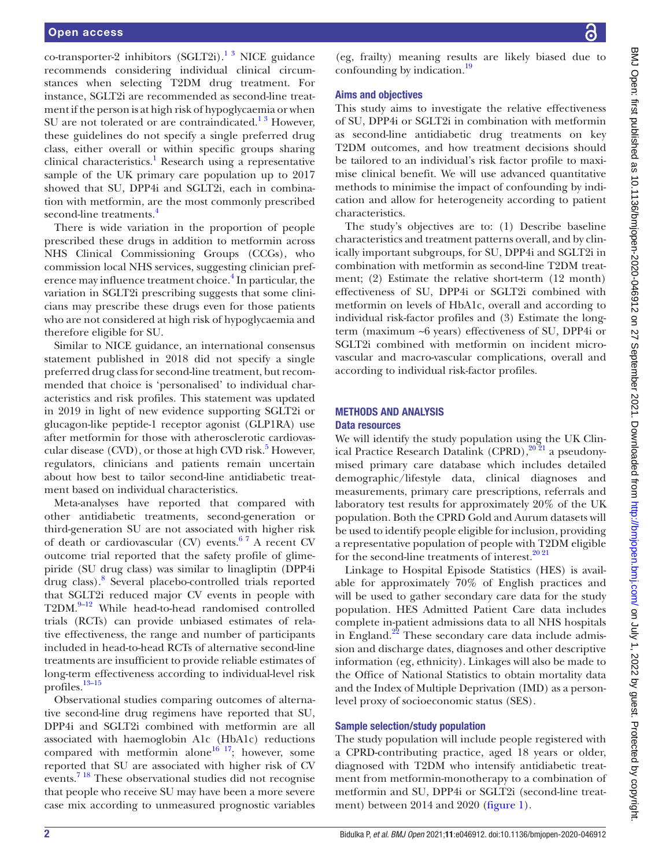co-transporter-2 inhibitors (SGLT2i).<sup>1 3</sup> NICE guidance recommends considering individual clinical circumstances when selecting T2DM drug treatment. For instance, SGLT2i are recommended as second-line treatment if the person is at high risk of hypoglycaemia or when SU are not tolerated or are contraindicated. $1^3$  However, these guidelines do not specify a single preferred drug class, either overall or within specific groups sharing clinical characteristics.<sup>[1](#page-7-0)</sup> Research using a representative sample of the UK primary care population up to 2017 showed that SU, DPP4i and SGLT2i, each in combination with metformin, are the most commonly prescribed second-line treatments.<sup>[4](#page-8-1)</sup>

There is wide variation in the proportion of people prescribed these drugs in addition to metformin across NHS Clinical Commissioning Groups (CCGs), who commission local NHS services, suggesting clinician pref-erence may influence treatment choice.<sup>[4](#page-8-1)</sup> In particular, the variation in SGLT2i prescribing suggests that some clinicians may prescribe these drugs even for those patients who are not considered at high risk of hypoglycaemia and therefore eligible for SU.

Similar to NICE guidance, an international consensus statement published in 2018 did not specify a single preferred drug class for second-line treatment, but recommended that choice is 'personalised' to individual characteristics and risk profiles. This statement was updated in 2019 in light of new evidence supporting SGLT2i or glucagon-like peptide-1 receptor agonist (GLP1RA) use after metformin for those with atherosclerotic cardiovas-cular disease (CVD), or those at high CVD risk.<sup>[5](#page-8-2)</sup> However, regulators, clinicians and patients remain uncertain about how best to tailor second-line antidiabetic treatment based on individual characteristics.

Meta-analyses have reported that compared with other antidiabetic treatments, second-generation or third-generation SU are not associated with higher risk of death or cardiovascular (CV) events.<sup>67</sup> A recent CV outcome trial reported that the safety profile of glimepiride (SU drug class) was similar to linagliptin (DPP4i drug class).[8](#page-8-4) Several placebo-controlled trials reported that SGLT2i reduced major CV events in people with T2DM.<sup>9-12</sup> While head-to-head randomised controlled trials (RCTs) can provide unbiased estimates of relative effectiveness, the range and number of participants included in head-to-head RCTs of alternative second-line treatments are insufficient to provide reliable estimates of long-term effectiveness according to individual-level risk profiles.[13–15](#page-8-6)

Observational studies comparing outcomes of alternative second-line drug regimens have reported that SU, DPP4i and SGLT2i combined with metformin are all associated with haemoglobin A1c (HbA1c) reductions compared with metformin alone<sup>16 17</sup>; however, some reported that SU are associated with higher risk of CV events.<sup>7 18</sup> These observational studies did not recognise that people who receive SU may have been a more severe case mix according to unmeasured prognostic variables

(eg, frailty) meaning results are likely biased due to confounding by indication.<sup>19</sup>

# Aims and objectives

This study aims to investigate the relative effectiveness of SU, DPP4i or SGLT2i in combination with metformin as second-line antidiabetic drug treatments on key T2DM outcomes, and how treatment decisions should be tailored to an individual's risk factor profile to maximise clinical benefit. We will use advanced quantitative methods to minimise the impact of confounding by indication and allow for heterogeneity according to patient characteristics.

The study's objectives are to: (1) Describe baseline characteristics and treatment patterns overall, and by clinically important subgroups, for SU, DPP4i and SGLT2i in combination with metformin as second-line T2DM treatment; (2) Estimate the relative short-term (12 month) effectiveness of SU, DPP4i or SGLT2i combined with metformin on levels of HbA1c, overall and according to individual risk-factor profiles and (3) Estimate the longterm (maximum ~6 years) effectiveness of SU, DPP4i or SGLT2i combined with metformin on incident microvascular and macro-vascular complications, overall and according to individual risk-factor profiles.

# METHODS AND ANALYSIS

# Data resources

We will identify the study population using the UK Clinical Practice Research Datalink (CPRD), $20\frac{2}{1}$  a pseudonymised primary care database which includes detailed demographic/lifestyle data, clinical diagnoses and measurements, primary care prescriptions, referrals and laboratory test results for approximately 20% of the UK population. Both the CPRD Gold and Aurum datasets will be used to identify people eligible for inclusion, providing a representative population of people with T2DM eligible for the second-line treatments of interest. $20\,21$ 

Linkage to Hospital Episode Statistics (HES) is available for approximately 70% of English practices and will be used to gather secondary care data for the study population. HES Admitted Patient Care data includes complete in-patient admissions data to all NHS hospitals in England.<sup>22</sup> These secondary care data include admission and discharge dates, diagnoses and other descriptive information (eg, ethnicity). Linkages will also be made to the Office of National Statistics to obtain mortality data and the Index of Multiple Deprivation (IMD) as a personlevel proxy of socioeconomic status (SES).

#### Sample selection/study population

The study population will include people registered with a CPRD-contributing practice, aged 18 years or older, diagnosed with T2DM who intensify antidiabetic treatment from metformin-monotherapy to a combination of metformin and SU, DPP4i or SGLT2i (second-line treatment) between 2014 and 2020 ([figure](#page-2-0) 1).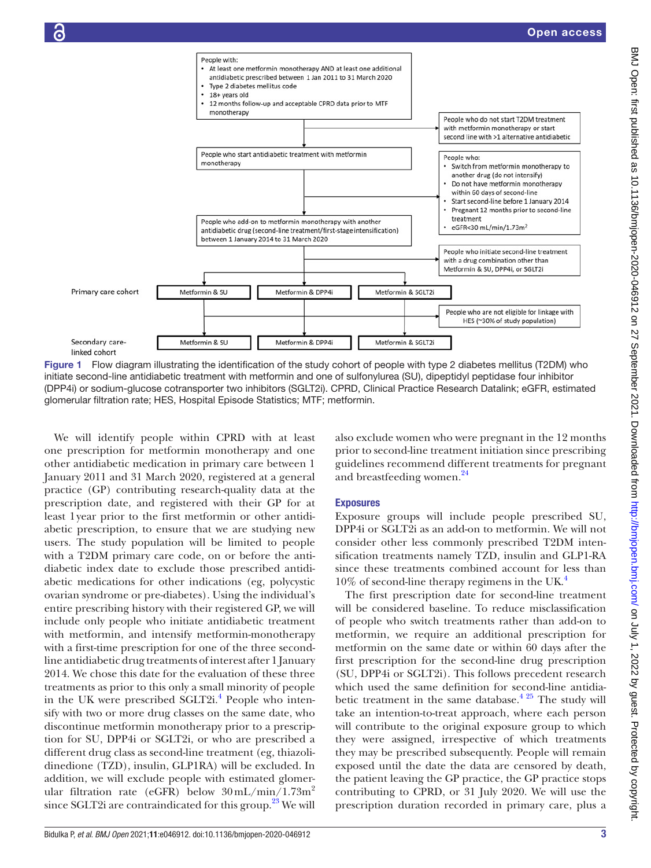

<span id="page-2-0"></span>Figure 1 Flow diagram illustrating the identification of the study cohort of people with type 2 diabetes mellitus (T2DM) who initiate second-line antidiabetic treatment with metformin and one of sulfonylurea (SU), dipeptidyl peptidase four inhibitor (DPP4i) or sodium-glucose cotransporter two inhibitors (SGLT2i). CPRD, Clinical Practice Research Datalink; eGFR, estimated glomerular filtration rate; HES, Hospital Episode Statistics; MTF; metformin.

We will identify people within CPRD with at least one prescription for metformin monotherapy and one other antidiabetic medication in primary care between 1 January 2011 and 31 March 2020, registered at a general practice (GP) contributing research-quality data at the prescription date, and registered with their GP for at least 1year prior to the first metformin or other antidiabetic prescription, to ensure that we are studying new users. The study population will be limited to people with a T2DM primary care code, on or before the antidiabetic index date to exclude those prescribed antidiabetic medications for other indications (eg, polycystic ovarian syndrome or pre-diabetes). Using the individual's entire prescribing history with their registered GP, we will include only people who initiate antidiabetic treatment with metformin, and intensify metformin-monotherapy with a first-time prescription for one of the three secondline antidiabetic drug treatments of interest after 1 January 2014. We chose this date for the evaluation of these three treatments as prior to this only a small minority of people in the UK were prescribed SGLT2i.<sup>[4](#page-8-1)</sup> People who intensify with two or more drug classes on the same date, who discontinue metformin monotherapy prior to a prescription for SU, DPP4i or SGLT2i, or who are prescribed a different drug class as second-line treatment (eg, thiazolidinedione (TZD), insulin, GLP1RA) will be excluded. In addition, we will exclude people with estimated glomerular filtration rate (eGFR) below  $30 \text{ mL/min} / 1.73 \text{m}^2$ since SGLT2i are contraindicated for this group. $^{23}$  We will

also exclude women who were pregnant in the 12 months prior to second-line treatment initiation since prescribing guidelines recommend different treatments for pregnant and breastfeeding women.<sup>[24](#page-8-13)</sup>

# Exposures

Exposure groups will include people prescribed SU, DPP4i or SGLT2i as an add-on to metformin. We will not consider other less commonly prescribed T2DM intensification treatments namely TZD, insulin and GLP1-RA since these treatments combined account for less than  $10\%$  of second-line therapy regimens in the UK.<sup>4</sup>

The first prescription date for second-line treatment will be considered baseline. To reduce misclassification of people who switch treatments rather than add-on to metformin, we require an additional prescription for metformin on the same date or within 60 days after the first prescription for the second-line drug prescription (SU, DPP4i or SGLT2i). This follows precedent research which used the same definition for second-line antidiabetic treatment in the same database.<sup> $4\frac{25}{1}$ </sup> The study will take an intention-to-treat approach, where each person will contribute to the original exposure group to which they were assigned, irrespective of which treatments they may be prescribed subsequently. People will remain exposed until the date the data are censored by death, the patient leaving the GP practice, the GP practice stops contributing to CPRD, or 31 July 2020. We will use the prescription duration recorded in primary care, plus a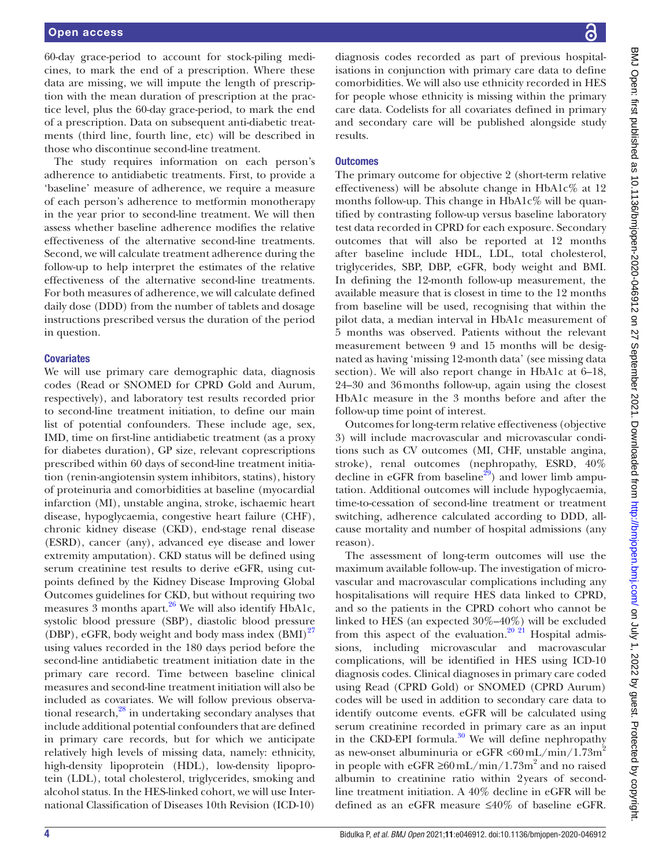#### Open access

60-day grace-period to account for stock-piling medicines, to mark the end of a prescription. Where these data are missing, we will impute the length of prescription with the mean duration of prescription at the practice level, plus the 60-day grace-period, to mark the end of a prescription. Data on subsequent anti-diabetic treatments (third line, fourth line, etc) will be described in those who discontinue second-line treatment.

The study requires information on each person's adherence to antidiabetic treatments. First, to provide a 'baseline' measure of adherence, we require a measure of each person's adherence to metformin monotherapy in the year prior to second-line treatment. We will then assess whether baseline adherence modifies the relative effectiveness of the alternative second-line treatments. Second, we will calculate treatment adherence during the follow-up to help interpret the estimates of the relative effectiveness of the alternative second-line treatments. For both measures of adherence, we will calculate defined daily dose (DDD) from the number of tablets and dosage instructions prescribed versus the duration of the period in question.

#### **Covariates**

We will use primary care demographic data, diagnosis codes (Read or SNOMED for CPRD Gold and Aurum, respectively), and laboratory test results recorded prior to second-line treatment initiation, to define our main list of potential confounders. These include age, sex, IMD, time on first-line antidiabetic treatment (as a proxy for diabetes duration), GP size, relevant coprescriptions prescribed within 60 days of second-line treatment initiation (renin-angiotensin system inhibitors, statins), history of proteinuria and comorbidities at baseline (myocardial infarction (MI), unstable angina, stroke, ischaemic heart disease, hypoglycaemia, congestive heart failure (CHF), chronic kidney disease (CKD), end-stage renal disease (ESRD), cancer (any), advanced eye disease and lower extremity amputation). CKD status will be defined using serum creatinine test results to derive eGFR, using cutpoints defined by the Kidney Disease Improving Global Outcomes guidelines for CKD, but without requiring two measures 3 months apart. $26$  We will also identify HbA1c, systolic blood pressure (SBP), diastolic blood pressure (DBP), eGFR, body weight and body mass index  $(BMI)^{27}$ using values recorded in the 180 days period before the second-line antidiabetic treatment initiation date in the primary care record. Time between baseline clinical measures and second-line treatment initiation will also be included as covariates. We will follow previous observational research, $^{28}$  in undertaking secondary analyses that include additional potential confounders that are defined in primary care records, but for which we anticipate relatively high levels of missing data, namely: ethnicity, high-density lipoprotein (HDL), low-density lipoprotein (LDL), total cholesterol, triglycerides, smoking and alcohol status. In the HES-linked cohort, we will use International Classification of Diseases 10th Revision (ICD-10)

diagnosis codes recorded as part of previous hospitalisations in conjunction with primary care data to define comorbidities. We will also use ethnicity recorded in HES for people whose ethnicity is missing within the primary care data. Codelists for all covariates defined in primary and secondary care will be published alongside study results.

#### **Outcomes**

The primary outcome for objective 2 (short-term relative effectiveness) will be absolute change in HbA1c% at 12 months follow-up. This change in  $HbA1c\%$  will be quantified by contrasting follow-up versus baseline laboratory test data recorded in CPRD for each exposure. Secondary outcomes that will also be reported at 12 months after baseline include HDL, LDL, total cholesterol, triglycerides, SBP, DBP, eGFR, body weight and BMI. In defining the 12-month follow-up measurement, the available measure that is closest in time to the 12 months from baseline will be used, recognising that within the pilot data, a median interval in HbA1c measurement of 5 months was observed. Patients without the relevant measurement between 9 and 15 months will be designated as having 'missing 12-month data' (see missing data section). We will also report change in HbA1c at  $6-18$ , 24–30 and 36months follow-up, again using the closest HbA1c measure in the 3 months before and after the follow-up time point of interest.

Outcomes for long-term relative effectiveness (objective 3) will include macrovascular and microvascular conditions such as CV outcomes (MI, CHF, unstable angina, stroke), renal outcomes (nephropathy, ESRD, 40% decline in eGFR from baseline<sup>[29](#page-8-17)</sup>) and lower limb amputation. Additional outcomes will include hypoglycaemia, time-to-cessation of second-line treatment or treatment switching, adherence calculated according to DDD, allcause mortality and number of hospital admissions (any reason).

The assessment of long-term outcomes will use the maximum available follow-up. The investigation of microvascular and macrovascular complications including any hospitalisations will require HES data linked to CPRD, and so the patients in the CPRD cohort who cannot be linked to HES (an expected 30%–40%) will be excluded from this aspect of the evaluation.<sup>20 21</sup> Hospital admissions, including microvascular and macrovascular complications, will be identified in HES using ICD-10 diagnosis codes. Clinical diagnoses in primary care coded using Read (CPRD Gold) or SNOMED (CPRD Aurum) codes will be used in addition to secondary care data to identify outcome events. eGFR will be calculated using serum creatinine recorded in primary care as an input in the CKD-EPI formula.<sup>30</sup> We will define nephropathy as new-onset albuminuria or eGFR  $\langle 60 \text{ mL/min} / 1.73 \text{m}^2$ in people with eGFR ≥60 mL/min/1.73m<sup>2</sup> and no raised albumin to creatinine ratio within 2years of secondline treatment initiation. A 40% decline in eGFR will be defined as an eGFR measure ≤40% of baseline eGFR.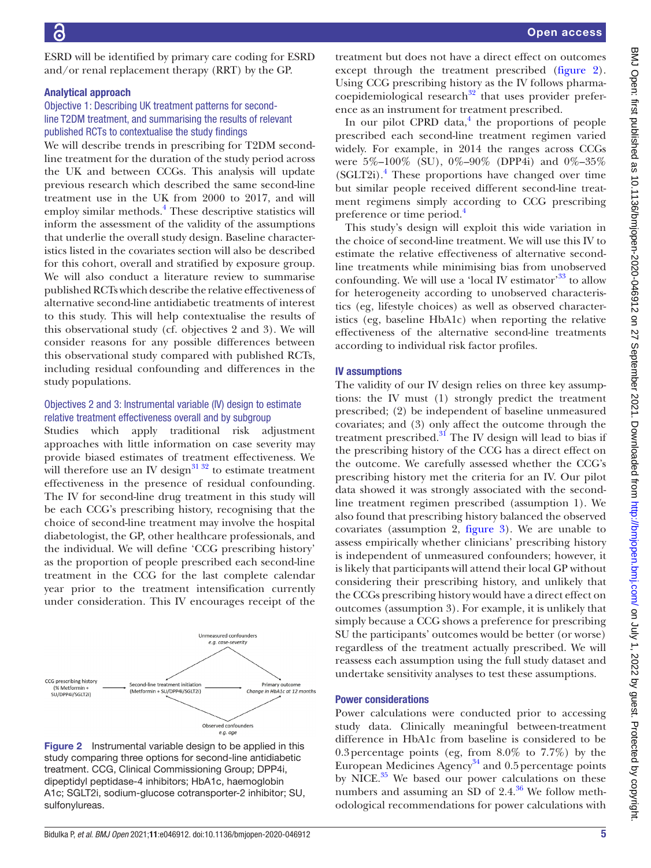ESRD will be identified by primary care coding for ESRD and/or renal replacement therapy (RRT) by the GP.

#### Analytical approach

# Objective 1: Describing UK treatment patterns for secondline T2DM treatment, and summarising the results of relevant published RCTs to contextualise the study findings

We will describe trends in prescribing for T2DM secondline treatment for the duration of the study period across the UK and between CCGs. This analysis will update previous research which described the same second-line treatment use in the UK from 2000 to 2017, and will employ similar methods.<sup>[4](#page-8-1)</sup> These descriptive statistics will inform the assessment of the validity of the assumptions that underlie the overall study design. Baseline characteristics listed in the covariates section will also be described for this cohort, overall and stratified by exposure group. We will also conduct a literature review to summarise published RCTs which describe the relative effectiveness of alternative second-line antidiabetic treatments of interest to this study. This will help contextualise the results of this observational study (cf. objectives 2 and 3). We will consider reasons for any possible differences between this observational study compared with published RCTs, including residual confounding and differences in the study populations.

# Objectives 2 and 3: Instrumental variable (IV) design to estimate relative treatment effectiveness overall and by subgroup

Studies which apply traditional risk adjustment approaches with little information on case severity may provide biased estimates of treatment effectiveness. We will therefore use an IV design $\frac{31\,32}{1}$  to estimate treatment effectiveness in the presence of residual confounding. The IV for second-line drug treatment in this study will be each CCG's prescribing history, recognising that the choice of second-line treatment may involve the hospital diabetologist, the GP, other healthcare professionals, and the individual. We will define 'CCG prescribing history' as the proportion of people prescribed each second-line treatment in the CCG for the last complete calendar year prior to the treatment intensification currently under consideration. This IV encourages receipt of the



<span id="page-4-0"></span>Figure 2 Instrumental variable design to be applied in this study comparing three options for second-line antidiabetic treatment. CCG, Clinical Commissioning Group; DPP4i, dipeptidyl peptidase-4 inhibitors; HbA1c, haemoglobin A1c; SGLT2i, sodium-glucose cotransporter-2 inhibitor; SU, sulfonylureas.

treatment but does not have a direct effect on outcomes except through the treatment prescribed [\(figure](#page-4-0) 2). Using CCG prescribing history as the IV follows pharmacoepidemiological research $32$  that uses provider preference as an instrument for treatment prescribed.

In our pilot CPRD data, $<sup>4</sup>$  $<sup>4</sup>$  $<sup>4</sup>$  the proportions of people</sup> prescribed each second-line treatment regimen varied widely. For example, in 2014 the ranges across CCGs were 5%–100% (SU), 0%–90% (DPP4i) and 0%–35% (SGLT2i).[4](#page-8-1) These proportions have changed over time but similar people received different second-line treatment regimens simply according to CCG prescribing preference or time period.<sup>[4](#page-8-1)</sup>

This study's design will exploit this wide variation in the choice of second-line treatment. We will use this IV to estimate the relative effectiveness of alternative secondline treatments while minimising bias from unobserved confounding. We will use a 'local IV estimator'<sup>33</sup> to allow for heterogeneity according to unobserved characteristics (eg, lifestyle choices) as well as observed characteristics (eg, baseline HbA1c) when reporting the relative effectiveness of the alternative second-line treatments according to individual risk factor profiles.

# IV assumptions

The validity of our IV design relies on three key assumptions: the IV must (1) strongly predict the treatment prescribed; (2) be independent of baseline unmeasured covariates; and (3) only affect the outcome through the treatment prescribed. $31$  The IV design will lead to bias if the prescribing history of the CCG has a direct effect on the outcome. We carefully assessed whether the CCG's prescribing history met the criteria for an IV. Our pilot data showed it was strongly associated with the secondline treatment regimen prescribed (assumption 1). We also found that prescribing history balanced the observed covariates (assumption 2, [figure](#page-5-0) 3). We are unable to assess empirically whether clinicians' prescribing history is independent of unmeasured confounders; however, it is likely that participants will attend their local GP without considering their prescribing history, and unlikely that the CCGs prescribing history would have a direct effect on outcomes (assumption 3). For example, it is unlikely that simply because a CCG shows a preference for prescribing SU the participants' outcomes would be better (or worse) regardless of the treatment actually prescribed. We will reassess each assumption using the full study dataset and undertake sensitivity analyses to test these assumptions.

# Power considerations

Power calculations were conducted prior to accessing study data. Clinically meaningful between-treatment difference in HbA1c from baseline is considered to be 0.3percentage points (eg, from 8.0% to 7.7%) by the European Medicines Agency<sup>[34](#page-8-22)</sup> and 0.5 percentage points by NICE. $35$  We based our power calculations on these numbers and assuming an SD of  $2.4^{36}$  We follow methodological recommendations for power calculations with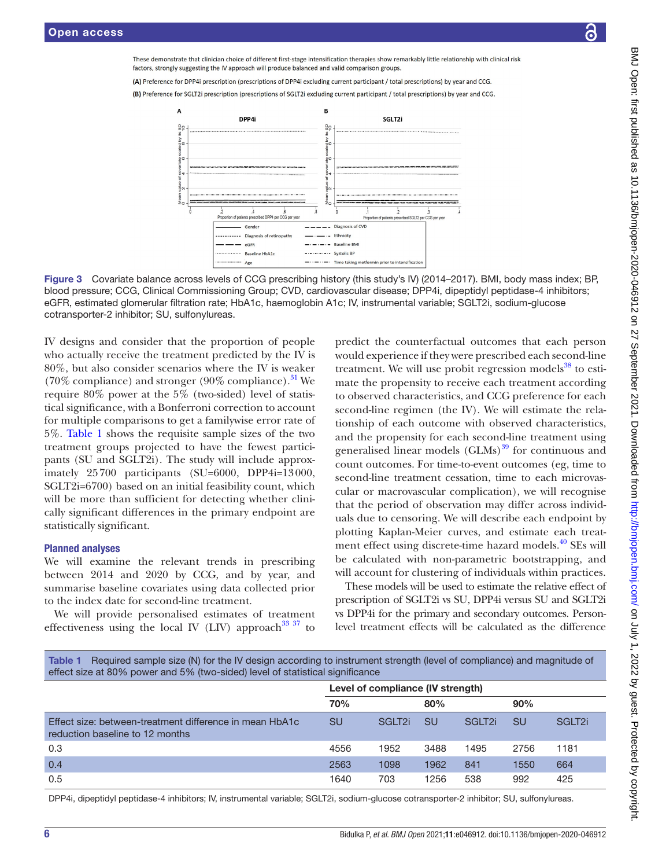These demonstrate that clinician choice of different first-stage intensification therapies show remarkably little relationship with clinical risk factors, strongly suggesting the IV approach will produce balanced and valid comparison groups

(A) Preference for DPP4i prescription (prescriptions of DPP4i excluding current participant / total prescriptions) by year and CCG.

(B) Preference for SGLT2i prescription (prescriptions of SGLT2i excluding current participant / total prescriptions) by year and CCG.





IV designs and consider that the proportion of people who actually receive the treatment predicted by the IV is 80%, but also consider scenarios where the IV is weaker (70% compliance) and stronger (90% compliance).<sup>31</sup> We require 80% power at the 5% (two-sided) level of statistical significance, with a Bonferroni correction to account for multiple comparisons to get a familywise error rate of 5%. [Table](#page-5-1) 1 shows the requisite sample sizes of the two treatment groups projected to have the fewest participants (SU and SGLT2i). The study will include approximately 25700 participants (SU=6000, DPP4i=13000, SGLT2i=6700) based on an initial feasibility count, which will be more than sufficient for detecting whether clinically significant differences in the primary endpoint are statistically significant.

# Planned analyses

We will examine the relevant trends in prescribing between 2014 and 2020 by CCG, and by year, and summarise baseline covariates using data collected prior to the index date for second-line treatment.

We will provide personalised estimates of treatment effectiveness using the local IV (LIV) approach<sup>33 37</sup> to

<span id="page-5-0"></span>predict the counterfactual outcomes that each person would experience if they were prescribed each second-line treatment. We will use probit regression models $38$  to estimate the propensity to receive each treatment according to observed characteristics, and CCG preference for each second-line regimen (the IV). We will estimate the relationship of each outcome with observed characteristics, and the propensity for each second-line treatment using generalised linear models  $(GLMs)$ <sup>39</sup> for continuous and count outcomes. For time-to-event outcomes (eg, time to second-line treatment cessation, time to each microvascular or macrovascular complication), we will recognise that the period of observation may differ across individuals due to censoring. We will describe each endpoint by plotting Kaplan-Meier curves, and estimate each treatment effect using discrete-time hazard models.<sup>40</sup> SEs will be calculated with non-parametric bootstrapping, and will account for clustering of individuals within practices.

These models will be used to estimate the relative effect of prescription of SGLT2i vs SU, DPP4i versus SU and SGLT2i vs DPP4i for the primary and secondary outcomes. Personlevel treatment effects will be calculated as the difference

<span id="page-5-1"></span>

| Table 1 Required sample size (N) for the IV design according to instrument strength (level of compliance) and magnitude of |
|----------------------------------------------------------------------------------------------------------------------------|
| effect size at 80% power and 5% (two-sided) level of statistical significance                                              |

|                                                                                            | Level of compliance (IV strength) |                    |           |                    |      |                    |
|--------------------------------------------------------------------------------------------|-----------------------------------|--------------------|-----------|--------------------|------|--------------------|
| 70%                                                                                        |                                   |                    | 80%       |                    | 90%  |                    |
| Effect size: between-treatment difference in mean HbA1c<br>reduction baseline to 12 months | <b>SU</b>                         | SGLT <sub>2i</sub> | <b>SU</b> | SGLT <sub>2i</sub> | SU   | SGLT <sub>2i</sub> |
| 0.3                                                                                        | 4556                              | 1952               | 3488      | 1495               | 2756 | 1181               |
| 0.4                                                                                        | 2563                              | 1098               | 1962      | 841                | 1550 | 664                |
| 0.5                                                                                        | 1640                              | 703                | 1256      | 538                | 992  | 425                |

DPP4i, dipeptidyl peptidase-4 inhibitors; IV, instrumental variable; SGLT2i, sodium-glucose cotransporter-2 inhibitor; SU, sulfonylureas.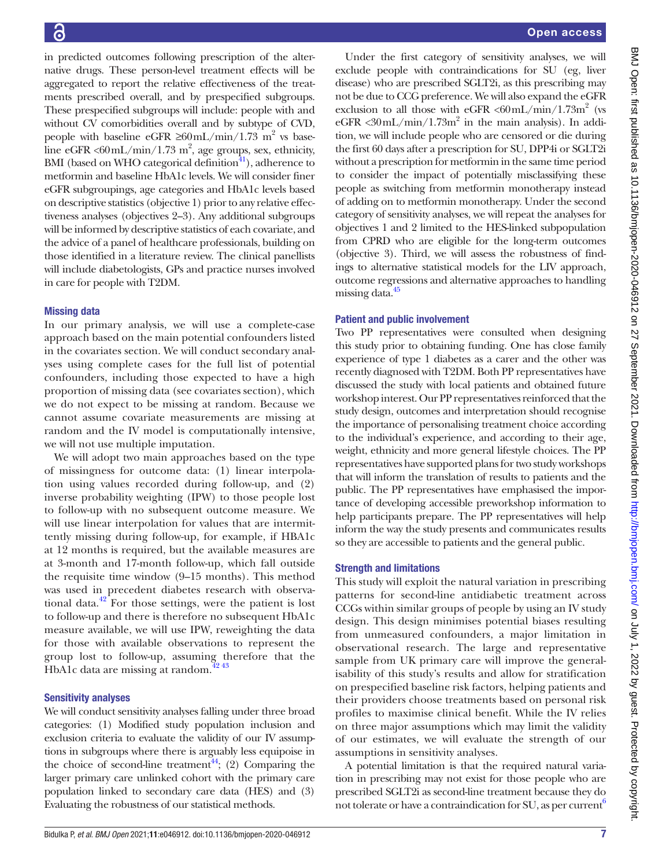in predicted outcomes following prescription of the alternative drugs. These person-level treatment effects will be aggregated to report the relative effectiveness of the treatments prescribed overall, and by prespecified subgroups. These prespecified subgroups will include: people with and without CV comorbidities overall and by subtype of CVD, people with baseline eGFR  $\geq 60$  mL/min/1.73 m<sup>2</sup> vs baseline eGFR < $60$ mL/min/1.73 m<sup>2</sup>, age groups, sex, ethnicity, BMI (based on WHO categorical definition $41$ ), adherence to metformin and baseline HbA1c levels. We will consider finer eGFR subgroupings, age categories and HbA1c levels based on descriptive statistics (objective 1) prior to any relative effectiveness analyses (objectives 2–3). Any additional subgroups will be informed by descriptive statistics of each covariate, and the advice of a panel of healthcare professionals, building on those identified in a literature review. The clinical panellists will include diabetologists, GPs and practice nurses involved in care for people with T2DM.

# Missing data

In our primary analysis, we will use a complete-case approach based on the main potential confounders listed in the covariates section. We will conduct secondary analyses using complete cases for the full list of potential confounders, including those expected to have a high proportion of missing data (see covariates section), which we do not expect to be missing at random. Because we cannot assume covariate measurements are missing at random and the IV model is computationally intensive, we will not use multiple imputation.

We will adopt two main approaches based on the type of missingness for outcome data: (1) linear interpolation using values recorded during follow-up, and (2) inverse probability weighting (IPW) to those people lost to follow-up with no subsequent outcome measure. We will use linear interpolation for values that are intermittently missing during follow-up, for example, if HBA1c at 12 months is required, but the available measures are at 3-month and 17-month follow-up, which fall outside the requisite time window (9–15 months). This method was used in precedent diabetes research with observational data.<sup>42</sup> For those settings, were the patient is lost to follow-up and there is therefore no subsequent HbA1c measure available, we will use IPW, reweighting the data for those with available observations to represent the group lost to follow-up, assuming therefore that the HbA1c data are missing at random. $42\frac{43}{2}$ 

# Sensitivity analyses

We will conduct sensitivity analyses falling under three broad categories: (1) Modified study population inclusion and exclusion criteria to evaluate the validity of our IV assumptions in subgroups where there is arguably less equipoise in the choice of second-line treatment<sup>44</sup>; (2) Comparing the larger primary care unlinked cohort with the primary care population linked to secondary care data (HES) and (3) Evaluating the robustness of our statistical methods.

Under the first category of sensitivity analyses, we will exclude people with contraindications for SU (eg, liver disease) who are prescribed SGLT2i, as this prescribing may not be due to CCG preference. We will also expand the eGFR exclusion to all those with eGFR  $\langle 60 \text{mL/min}/1.73 \text{m}^2 \rangle$  (vs  $eGFR < 30$  mL/min/1.73m<sup>2</sup> in the main analysis). In addition, we will include people who are censored or die during the first 60 days after a prescription for SU, DPP4i or SGLT2i without a prescription for metformin in the same time period to consider the impact of potentially misclassifying these people as switching from metformin monotherapy instead of adding on to metformin monotherapy. Under the second category of sensitivity analyses, we will repeat the analyses for objectives 1 and 2 limited to the HES-linked subpopulation from CPRD who are eligible for the long-term outcomes (objective 3). Third, we will assess the robustness of findings to alternative statistical models for the LIV approach, outcome regressions and alternative approaches to handling missing data.<sup>45</sup>

# Patient and public involvement

Two PP representatives were consulted when designing this study prior to obtaining funding. One has close family experience of type 1 diabetes as a carer and the other was recently diagnosed with T2DM. Both PP representatives have discussed the study with local patients and obtained future workshop interest. Our PP representatives reinforced that the study design, outcomes and interpretation should recognise the importance of personalising treatment choice according to the individual's experience, and according to their age, weight, ethnicity and more general lifestyle choices. The PP representatives have supported plans for two study workshops that will inform the translation of results to patients and the public. The PP representatives have emphasised the importance of developing accessible preworkshop information to help participants prepare. The PP representatives will help inform the way the study presents and communicates results so they are accessible to patients and the general public.

# Strength and limitations

This study will exploit the natural variation in prescribing patterns for second-line antidiabetic treatment across CCGs within similar groups of people by using an IV study design. This design minimises potential biases resulting from unmeasured confounders, a major limitation in observational research. The large and representative sample from UK primary care will improve the generalisability of this study's results and allow for stratification on prespecified baseline risk factors, helping patients and their providers choose treatments based on personal risk profiles to maximise clinical benefit. While the IV relies on three major assumptions which may limit the validity of our estimates, we will evaluate the strength of our assumptions in sensitivity analyses.

A potential limitation is that the required natural variation in prescribing may not exist for those people who are prescribed SGLT2i as second-line treatment because they do not tolerate or have a contraindication for SU, as per current<sup>6</sup>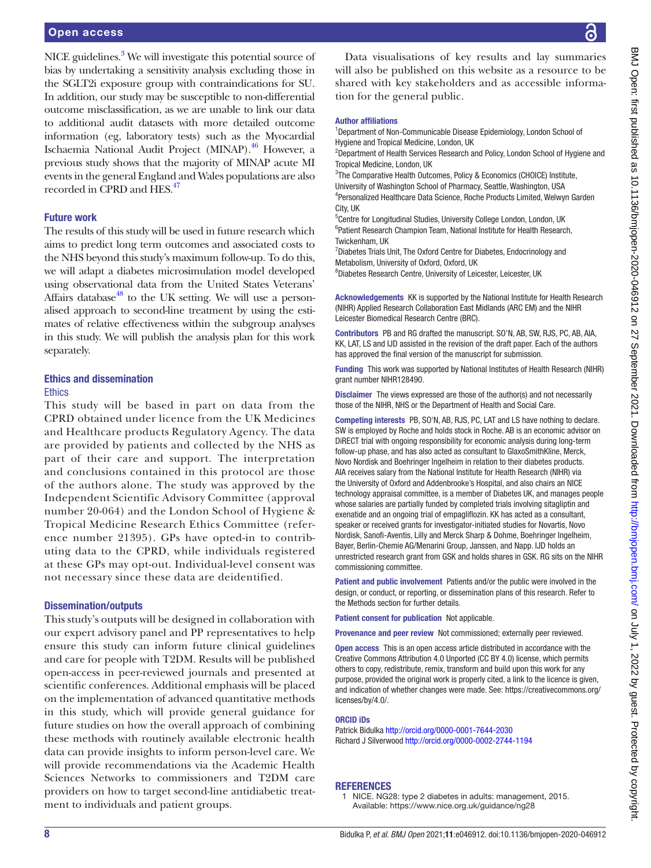NICE guidelines.<sup>[3](#page-8-32)</sup> We will investigate this potential source of bias by undertaking a sensitivity analysis excluding those in the SGLT2i exposure group with contraindications for SU. In addition, our study may be susceptible to non-differential outcome misclassification, as we are unable to link our data to additional audit datasets with more detailed outcome information (eg, laboratory tests) such as the Myocardial Ischaemia National Audit Project (MINAP).[46](#page-8-33) However, a previous study shows that the majority of MINAP acute MI events in the general England and Wales populations are also recorded in CPRD and HES.<sup>47</sup>

# Future work

The results of this study will be used in future research which aims to predict long term outcomes and associated costs to the NHS beyond this study's maximum follow-up. To do this, we will adapt a diabetes microsimulation model developed using observational data from the United States Veterans' Affairs database<sup>48</sup> to the UK setting. We will use a personalised approach to second-line treatment by using the estimates of relative effectiveness within the subgroup analyses in this study. We will publish the analysis plan for this work separately.

# Ethics and dissemination

#### **Ethics**

This study will be based in part on data from the CPRD obtained under licence from the UK Medicines and Healthcare products Regulatory Agency. The data are provided by patients and collected by the NHS as part of their care and support. The interpretation and conclusions contained in this protocol are those of the authors alone. The study was approved by the Independent Scientific Advisory Committee (approval number 20-064) and the London School of Hygiene & Tropical Medicine Research Ethics Committee (reference number 21395). GPs have opted-in to contributing data to the CPRD, while individuals registered at these GPs may opt-out. Individual-level consent was not necessary since these data are deidentified.

# Dissemination/outputs

This study's outputs will be designed in collaboration with our expert advisory panel and PP representatives to help ensure this study can inform future clinical guidelines and care for people with T2DM. Results will be published open-access in peer-reviewed journals and presented at scientific conferences. Additional emphasis will be placed on the implementation of advanced quantitative methods in this study, which will provide general guidance for future studies on how the overall approach of combining these methods with routinely available electronic health data can provide insights to inform person-level care. We will provide recommendations via the Academic Health Sciences Networks to commissioners and T2DM care providers on how to target second-line antidiabetic treatment to individuals and patient groups.

Data visualisations of key results and lay summaries will also be published on this website as a resource to be shared with key stakeholders and as accessible information for the general public.

#### Author affiliations

<sup>1</sup>Department of Non-Communicable Disease Epidemiology, London School of Hygiene and Tropical Medicine, London, UK

<sup>2</sup>Department of Health Services Research and Policy, London School of Hygiene and Tropical Medicine, London, UK

<sup>3</sup>The Comparative Health Outcomes, Policy & Economics (CHOICE) Institute, University of Washington School of Pharmacy, Seattle, Washington, USA 4 Personalized Healthcare Data Science, Roche Products Limited, Welwyn Garden City, UK

5 Centre for Longitudinal Studies, University College London, London, UK <sup>6</sup> Patient Research Champion Team, National Institute for Health Research, Twickenham, UK

<sup>7</sup> Diabetes Trials Unit, The Oxford Centre for Diabetes, Endocrinology and Metabolism, University of Oxford, Oxford, UK

8 Diabetes Research Centre, University of Leicester, Leicester, UK

Acknowledgements KK is supported by the National Institute for Health Research (NIHR) Applied Research Collaboration East Midlands (ARC EM) and the NIHR Leicester Biomedical Research Centre (BRC).

Contributors PB and RG drafted the manuscript. SO'N, AB, SW, RJS, PC, AB, AIA, KK, LAT, LS and IJD assisted in the revision of the draft paper. Each of the authors has approved the final version of the manuscript for submission.

Funding This work was supported by National Institutes of Health Research (NIHR) grant number NIHR128490.

Disclaimer The views expressed are those of the author(s) and not necessarily those of the NIHR, NHS or the Department of Health and Social Care.

Competing interests PB, SO'N, AB, RJS, PC, LAT and LS have nothing to declare. SW is employed by Roche and holds stock in Roche. AB is an economic advisor on DiRECT trial with ongoing responsibility for economic analysis during long-term follow-up phase, and has also acted as consultant to GlaxoSmithKline, Merck, Novo Nordisk and Boehringer Ingelheim in relation to their diabetes products. AIA receives salary from the National Institute for Health Research (NIHR) via the University of Oxford and Addenbrooke's Hospital, and also chairs an NICE technology appraisal committee, is a member of Diabetes UK, and manages people whose salaries are partially funded by completed trials involving sitagliptin and exenatide and an ongoing trial of empagliflozin. KK has acted as a consultant, speaker or received grants for investigator-initiated studies for Novartis, Novo Nordisk, Sanofi-Aventis, Lilly and Merck Sharp & Dohme, Boehringer Ingelheim, Bayer, Berlin-Chemie AG/Menarini Group, Janssen, and Napp. IJD holds an unrestricted research grant from GSK and holds shares in GSK. RG sits on the NIHR commissioning committee.

Patient and public involvement Patients and/or the public were involved in the design, or conduct, or reporting, or dissemination plans of this research. Refer to the Methods section for further details.

Patient consent for publication Not applicable.

Provenance and peer review Not commissioned; externally peer reviewed.

Open access This is an open access article distributed in accordance with the Creative Commons Attribution 4.0 Unported (CC BY 4.0) license, which permits others to copy, redistribute, remix, transform and build upon this work for any purpose, provided the original work is properly cited, a link to the licence is given, and indication of whether changes were made. See: [https://creativecommons.org/](https://creativecommons.org/licenses/by/4.0/) [licenses/by/4.0/](https://creativecommons.org/licenses/by/4.0/).

#### ORCID iDs

Patrick Bidulka<http://orcid.org/0000-0001-7644-2030> Richard J Silverwood<http://orcid.org/0000-0002-2744-1194>

# **REFERENCES**

<span id="page-7-0"></span>1 NICE. NG28: type 2 diabetes in adults: management, 2015. Available:<https://www.nice.org.uk/guidance/ng28>